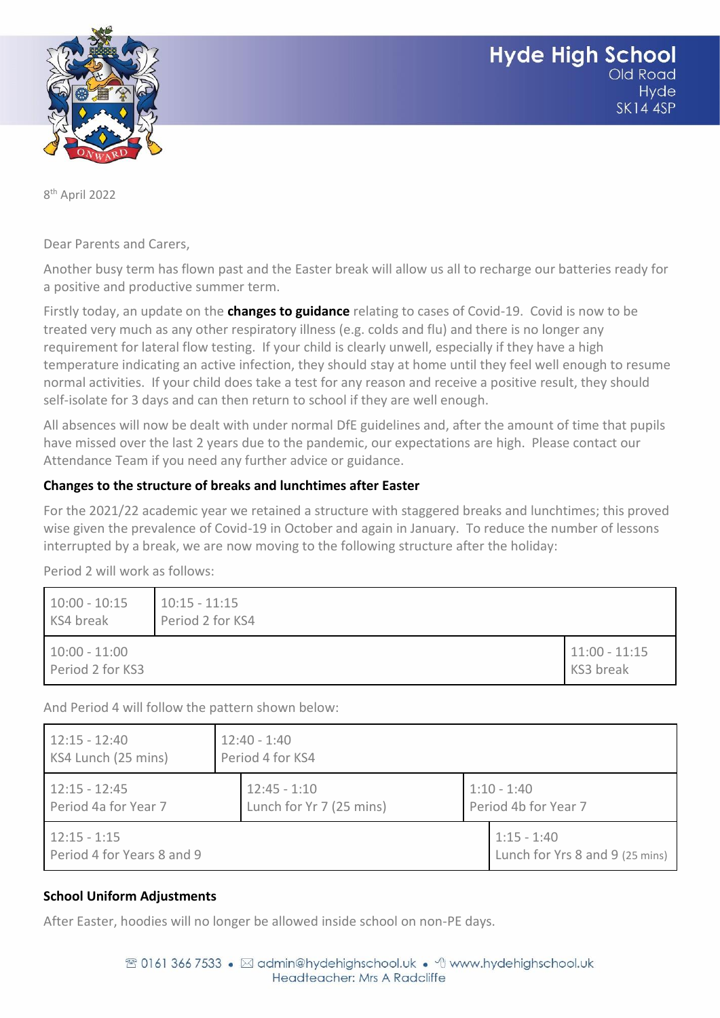

8 th April 2022

Dear Parents and Carers,

Another busy term has flown past and the Easter break will allow us all to recharge our batteries ready for a positive and productive summer term.

Firstly today, an update on the **changes to guidance** relating to cases of Covid-19. Covid is now to be treated very much as any other respiratory illness (e.g. colds and flu) and there is no longer any requirement for lateral flow testing. If your child is clearly unwell, especially if they have a high temperature indicating an active infection, they should stay at home until they feel well enough to resume normal activities. If your child does take a test for any reason and receive a positive result, they should self-isolate for 3 days and can then return to school if they are well enough.

All absences will now be dealt with under normal DfE guidelines and, after the amount of time that pupils have missed over the last 2 years due to the pandemic, our expectations are high. Please contact our Attendance Team if you need any further advice or guidance.

### **Changes to the structure of breaks and lunchtimes after Easter**

For the 2021/22 academic year we retained a structure with staggered breaks and lunchtimes; this proved wise given the prevalence of Covid-19 in October and again in January. To reduce the number of lessons interrupted by a break, we are now moving to the following structure after the holiday:

Period 2 will work as follows:

| $10:00 - 10:15$<br>KS4 break        | $10:15 - 11:15$<br>Period 2 for KS4 |                              |
|-------------------------------------|-------------------------------------|------------------------------|
| $10:00 - 11:00$<br>Period 2 for KS3 |                                     | $11:00 - 11:15$<br>KS3 break |

And Period 4 will follow the pattern shown below:

| $12:15 - 12:40$                              |  | $12:40 - 1:40$           |  |                                                  |  |
|----------------------------------------------|--|--------------------------|--|--------------------------------------------------|--|
| KS4 Lunch (25 mins)                          |  | Period 4 for KS4         |  |                                                  |  |
| $12:15 - 12:45$                              |  | $12:45 - 1:10$           |  | $1:10 - 1:40$                                    |  |
| Period 4a for Year 7                         |  | Lunch for Yr 7 (25 mins) |  | Period 4b for Year 7                             |  |
| $12:15 - 1:15$<br>Period 4 for Years 8 and 9 |  |                          |  | $1:15 - 1:40$<br>Lunch for Yrs 8 and 9 (25 mins) |  |

# **School Uniform Adjustments**

After Easter, hoodies will no longer be allowed inside school on non-PE days.